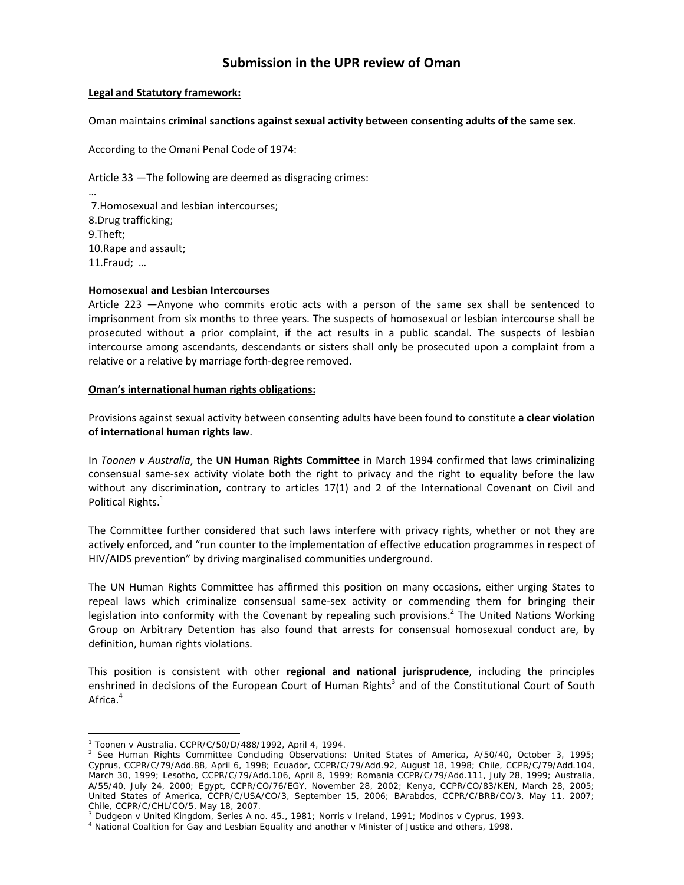# **Submission in the UPR review of Oman**

### **Legal and Statutory framework:**

#### Oman maintains **criminal sanctions against sexual activity between consenting adults of the same sex**.

According to the Omani Penal Code of 1974:

Article 33 ―The following are deemed as disgracing crimes:

… 7.Homosexual and lesbian intercourses; 8.Drug trafficking; 9.Theft; 10.Rape and assault; 11.Fraud; …

#### **Homosexual and Lesbian Intercourses**

Article 223 ―Anyone who commits erotic acts with a person of the same sex shall be sentenced to imprisonment from six months to three years. The suspects of homosexual or lesbian intercourse shall be prosecuted without a prior complaint, if the act results in a public scandal. The suspects of lesbian intercourse among ascendants, descendants or sisters shall only be prosecuted upon a complaint from a relative or a relative by marriage forth‐degree removed.

#### **Oman's international human rights obligations:**

Provisions against sexual activity between consenting adults have been found to constitute **a clear violation of international human rights law**.

In *Toonen v Australia*, the **UN Human Rights Committee** in March 1994 confirmed that laws criminalizing consensual same‐sex activity violate both the right to privacy and the right to equality before the law without any discrimination, contrary to articles 17(1) and 2 of the International Covenant on Civil and Political Rights.<sup>1</sup>

The Committee further considered that such laws interfere with privacy rights, whether or not they are actively enforced, and "run counter to the implementation of effective education programmes in respect of HIV/AIDS prevention" by driving marginalised communities underground.

The UN Human Rights Committee has affirmed this position on many occasions, either urging States to repeal laws which criminalize consensual same‐sex activity or commending them for bringing their legislation into conformity with the Covenant by repealing such provisions.<sup>2</sup> The United Nations Working Group on Arbitrary Detention has also found that arrests for consensual homosexual conduct are, by definition, human rights violations.

This position is consistent with other **regional and national jurisprudence**, including the principles enshrined in decisions of the European Court of Human Rights<sup>3</sup> and of the Constitutional Court of South Africa.<sup>4</sup>

 $\overline{a}$ 

<sup>1</sup> *Toonen* v *Australia*, CCPR/C/50/D/488/1992, April 4, 1994. 2

 $^2$  See Human Rights Committee Concluding Observations: United States of America, A/50/40, October 3, 1995; Cyprus, CCPR/C/79/Add.88, April 6, 1998; Ecuador, CCPR/C/79/Add.92, August 18, 1998; Chile, CCPR/C/79/Add.104, March 30, 1999; Lesotho, CCPR/C/79/Add.106, April 8, 1999; Romania CCPR/C/79/Add.111, July 28, 1999; Australia, A/55/40, July 24, 2000; Egypt, CCPR/CO/76/EGY, November 28, 2002; Kenya, CCPR/CO/83/KEN, March 28, 2005; United States of America, CCPR/C/USA/CO/3, September 15, 2006; BArabdos, CCPR/C/BRB/CO/3, May 11, 2007; Chile, CCPR/C/CHL/CO/5, May 18, 2007.

<sup>&</sup>lt;sup>3</sup> Dudgeon v United Kingdom, Series A no. 45., 1981; Norris v Ireland, 1991; Modinos v Cyprus, 1993.<br><sup>4</sup> National Coalition for Gay and Lesbian Equality and another v Minister of Justice and others, 1998.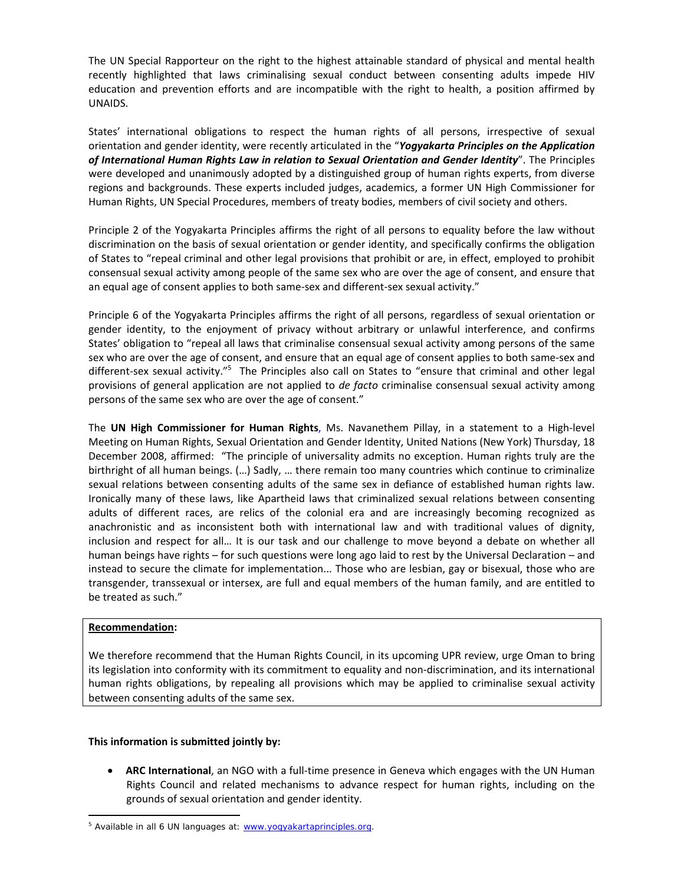The UN Special Rapporteur on the right to the highest attainable standard of physical and mental health recently highlighted that laws criminalising sexual conduct between consenting adults impede HIV education and prevention efforts and are incompatible with the right to health, a position affirmed by UNAIDS.

States' international obligations to respect the human rights of all persons, irrespective of sexual orientation and gender identity, were recently articulated in the "*Yogyakarta Principles on the Application of International Human Rights Law in relation to Sexual Orientation and Gender Identity*". The Principles were developed and unanimously adopted by a distinguished group of human rights experts, from diverse regions and backgrounds. These experts included judges, academics, a former UN High Commissioner for Human Rights, UN Special Procedures, members of treaty bodies, members of civil society and others.

Principle 2 of the Yogyakarta Principles affirms the right of all persons to equality before the law without discrimination on the basis of sexual orientation or gender identity, and specifically confirms the obligation of States to "repeal criminal and other legal provisions that prohibit or are, in effect, employed to prohibit consensual sexual activity among people of the same sex who are over the age of consent, and ensure that an equal age of consent applies to both same‐sex and different‐sex sexual activity."

Principle 6 of the Yogyakarta Principles affirms the right of all persons, regardless of sexual orientation or gender identity, to the enjoyment of privacy without arbitrary or unlawful interference, and confirms States' obligation to "repeal all laws that criminalise consensual sexual activity among persons of the same sex who are over the age of consent, and ensure that an equal age of consent applies to both same‐sex and different-sex sexual activity."<sup>5</sup> The Principles also call on States to "ensure that criminal and other legal provisions of general application are not applied to *de facto* criminalise consensual sexual activity among persons of the same sex who are over the age of consent."

The **UN High Commissioner for Human Rights**, Ms. Navanethem Pillay, in a statement to a High‐level Meeting on Human Rights, Sexual Orientation and Gender Identity, United Nations (New York) Thursday, 18 December 2008, affirmed: "The principle of universality admits no exception. Human rights truly are the birthright of all human beings. (…) Sadly, … there remain too many countries which continue to criminalize sexual relations between consenting adults of the same sex in defiance of established human rights law. Ironically many of these laws, like Apartheid laws that criminalized sexual relations between consenting adults of different races, are relics of the colonial era and are increasingly becoming recognized as anachronistic and as inconsistent both with international law and with traditional values of dignity, inclusion and respect for all… It is our task and our challenge to move beyond a debate on whether all human beings have rights – for such questions were long ago laid to rest by the Universal Declaration – and instead to secure the climate for implementation... Those who are lesbian, gay or bisexual, those who are transgender, transsexual or intersex, are full and equal members of the human family, and are entitled to be treated as such."

## **Recommendation:**

 $\overline{a}$ 

We therefore recommend that the Human Rights Council, in its upcoming UPR review, urge Oman to bring its legislation into conformity with its commitment to equality and non‐discrimination, and its international human rights obligations, by repealing all provisions which may be applied to criminalise sexual activity between consenting adults of the same sex.

## **This information is submitted jointly by:**

• **ARC International**, an NGO with a full‐time presence in Geneva which engages with the UN Human Rights Council and related mechanisms to advance respect for human rights, including on the grounds of sexual orientation and gender identity.

<sup>&</sup>lt;sup>5</sup> Available in all 6 UN languages at: www.yogyakartaprinciples.org.